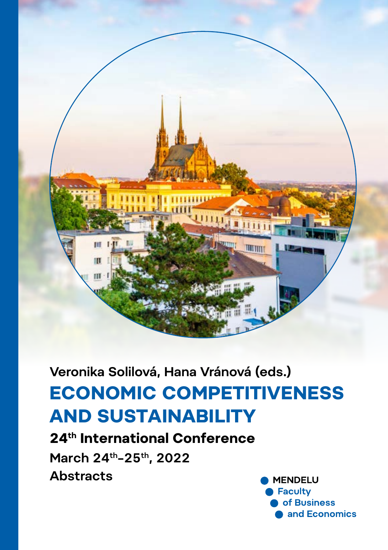

**Veronika Solilová, Hana Vránová (eds.)**

# **AND SUSTAINABILITY ECONOMIC COMPETITIVENESS**

**24th International Conference March 24th–25th, 2022 Abstracts**

**MENDELU** Faculty of Business and Economics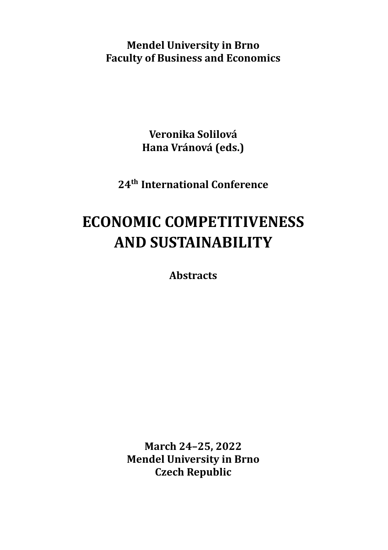**Mendel University in Brno Faculty of Business and Economics**

> **Veronika Solilová Hana Vránová (eds.)**

**24th International Conference**

# **ECONOMIC COMPETITIVENESS AND SUSTAINABILITY**

**Abstracts**

**March 24–25, 2022 Mendel University in Brno Czech Republic**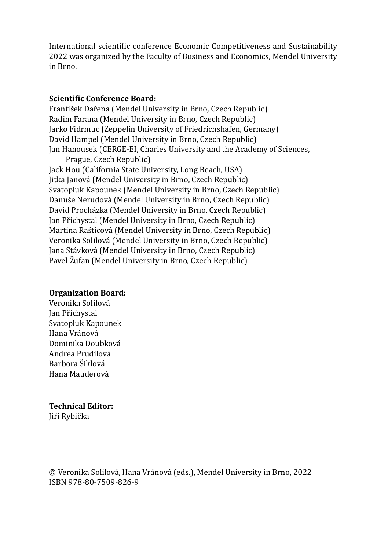International scientific conference Economic Competitiveness and Sustainability 2022 was organized by the Faculty of Business and Economics, Mendel University in Brno.

#### **Scientific Conference Board:**

František Dařena (Mendel University in Brno, Czech Republic) Radim Farana (Mendel University in Brno, Czech Republic) Jarko Fidrmuc (Zeppelin University of Friedrichshafen, Germany) David Hampel (Mendel University in Brno, Czech Republic) Jan Hanousek (CERGE-EI, Charles University and the Academy of Sciences, Prague, Czech Republic)

Jack Hou (California State University, Long Beach, USA) Jitka Janová (Mendel University in Brno, Czech Republic) Svatopluk Kapounek (Mendel University in Brno, Czech Republic) Danuše Nerudová (Mendel University in Brno, Czech Republic) David Procházka (Mendel University in Brno, Czech Republic) Jan Přichystal (Mendel University in Brno, Czech Republic) Martina Rašticová (Mendel University in Brno, Czech Republic) Veronika Solilová (Mendel University in Brno, Czech Republic) Jana Stávková (Mendel University in Brno, Czech Republic) Pavel Žufan (Mendel University in Brno, Czech Republic)

#### **Organization Board:**

Veronika Solilová Jan Přichystal Svatopluk Kapounek Hana Vránová Dominika Doubková Andrea Prudilová Barbora Sƽiklová Hana Mauderová

### **Technical Editor:**

Jiřı́ Rybička

© Veronika Solilová , Hana Vránová (eds.), Mendel University in Brno, 2022 ISBN 978-80-7509-826-9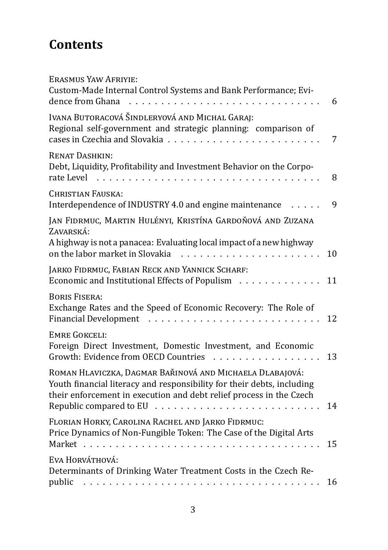# **Contents**

| Erasmus Yaw Afriyie:<br>Custom-Made Internal Control Systems and Bank Performance; Evi-<br>dence from Ghana                                                                                               | 6  |
|-----------------------------------------------------------------------------------------------------------------------------------------------------------------------------------------------------------|----|
| Ivana Butoracová Šindleryová and Michal Garaj:<br>Regional self-government and strategic planning: comparison of<br>cases in Czechia and Slovakia<br>.                                                    | 7  |
| <b>RENAT DASHKIN:</b><br>Debt, Liquidity, Profitability and Investment Behavior on the Corpo-<br>rate Level                                                                                               | 8  |
| CHRISTIAN FAUSKA:<br>Interdependence of INDUSTRY 4.0 and engine maintenance                                                                                                                               | 9  |
| JAN FIDRMUC, MARTIN HULÉNYI, KRISTÍNA GARDOŇOVÁ AND ZUZANA<br>ZAVARSKÁ:                                                                                                                                   |    |
| A highway is not a panacea: Evaluating local impact of a new highway<br>on the labor market in Slovakia<br>.                                                                                              | 10 |
| JARKO FIDRMUC, FABIAN RECK AND YANNICK SCHARF:<br>Economic and Institutional Effects of Populism                                                                                                          | 11 |
| <b>BORIS FISERA:</b><br>Exchange Rates and the Speed of Economic Recovery: The Role of<br><b>Financial Development</b>                                                                                    | 12 |
| <b>EMRE GOKCELI:</b><br>Foreign Direct Investment, Domestic Investment, and Economic<br>Growth: Evidence from OECD Countries<br>and a straight the                                                        | 13 |
| ROMAN HLAVICZKA, DAGMAR BAŘINOVÁ AND MICHAELA DLABAJOVÁ:<br>Youth financial literacy and responsibility for their debts, including<br>their enforcement in execution and debt relief process in the Czech |    |
| Republic compared to EU $\ldots \ldots \ldots \ldots \ldots \ldots$<br>FLORIAN HORKY, CAROLINA RACHEL AND JARKO FIDRMUC:                                                                                  | 14 |
| Price Dynamics of Non-Fungible Token: The Case of the Digital Arts<br>Market<br>and a state                                                                                                               | 15 |
| EVA HORVÁTHOVÁ:<br>Determinants of Drinking Water Treatment Costs in the Czech Re-                                                                                                                        |    |
| public                                                                                                                                                                                                    | 16 |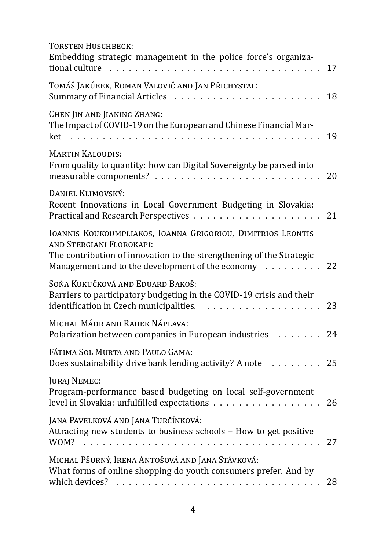| <b>TORSTEN HUSCHBECK:</b>                                                                                                                                                                                           |    |
|---------------------------------------------------------------------------------------------------------------------------------------------------------------------------------------------------------------------|----|
| Embedding strategic management in the police force's organiza-<br>tional culture                                                                                                                                    | 17 |
| TOMÁŠ JAKÚBEK, ROMAN VALOVIČ AND JAN PŘICHYSTAL:<br>Summary of Financial Articles                                                                                                                                   | 18 |
| CHEN JIN AND JIANING ZHANG:<br>The Impact of COVID-19 on the European and Chinese Financial Mar-<br>ket<br>and a straight                                                                                           | 19 |
| <b>MARTIN KALOUDIS:</b><br>From quality to quantity: how can Digital Sovereignty be parsed into                                                                                                                     | 20 |
| DANIEL KLIMOVSKÝ:<br>Recent Innovations in Local Government Budgeting in Slovakia:<br>Practical and Research Perspectives                                                                                           | 21 |
| IOANNIS KOUKOUMPLIAKOS, IOANNA GRIGORIOU, DIMITRIOS LEONTIS<br>AND STERGIANI FLOROKAPI:<br>The contribution of innovation to the strengthening of the Strategic<br>Management and to the development of the economy | 22 |
| SOŇA KUKUČKOVÁ AND EDUARD BAKOŠ:<br>Barriers to participatory budgeting in the COVID-19 crisis and their<br>identification in Czech municipalities.<br>.                                                            | 23 |
| MICHAL MÁDR AND RADEK NÁPLAVA:<br>Polarization between companies in European industries                                                                                                                             | 24 |
| FÁTIMA SOL MURTA AND PAULO GAMA:<br>Does sustainability drive bank lending activity? A note                                                                                                                         | 25 |
| <b>JURAJ NEMEC:</b><br>Program-performance based budgeting on local self-government<br>level in Slovakia: unfulfilled expectations                                                                                  | 26 |
| JANA PAVELKOVÁ AND JANA TURČÍNKOVÁ:<br>Attracting new students to business schools - How to get positive<br>WOM?                                                                                                    | 27 |
| MICHAL PŠURNÝ, IRENA ANTOŠOVÁ AND JANA STÁVKOVÁ:<br>What forms of online shopping do youth consumers prefer. And by                                                                                                 | 28 |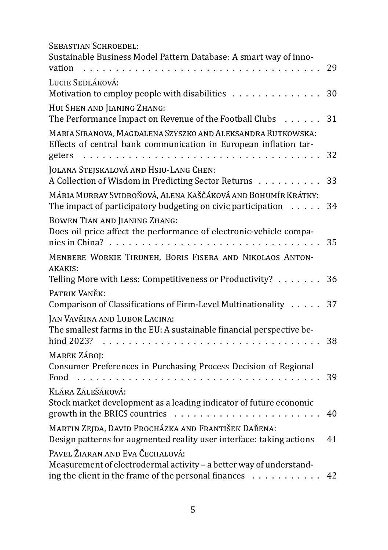| <b>SEBASTIAN SCHROEDEL:</b><br>Sustainable Business Model Pattern Database: A smart way of inno-<br>vation                                                                                                  | 29 |
|-------------------------------------------------------------------------------------------------------------------------------------------------------------------------------------------------------------|----|
| LUCIE SEDLÁKOVÁ:<br>Motivation to employ people with disabilities                                                                                                                                           | 30 |
| HUI SHEN AND JIANING ZHANG:<br>The Performance Impact on Revenue of the Football Clubs                                                                                                                      | 31 |
| MARIA SIRANOVA, MAGDALENA SZYSZKO AND ALEKSANDRA RUTKOWSKA:<br>Effects of central bank communication in European inflation tar-<br>geters<br>.                                                              | 32 |
| JOLANA STEJSKALOVÁ AND HSIU-LANG CHEN:<br>A Collection of Wisdom in Predicting Sector Returns                                                                                                               | 33 |
| MÁRIA MURRAY SVIDROŇOVÁ, ALENA KAŠČÁKOVÁ AND BOHUMÍR KRÁTKY:<br>The impact of participatory budgeting on civic participation                                                                                | 34 |
| BOWEN TIAN AND JIANING ZHANG:<br>Does oil price affect the performance of electronic-vehicle compa-<br>nies in China?                                                                                       | 35 |
| MENBERE WORKIE TIRUNEH, BORIS FISERA AND NIKOLAOS ANTON-<br><b>AKAKIS:</b><br>Telling More with Less: Competitiveness or Productivity?                                                                      | 36 |
| PATRIK VANĚK:<br>Comparison of Classifications of Firm-Level Multinationality                                                                                                                               | 37 |
| JAN VAVŘINA AND LUBOR LACINA:<br>The smallest farms in the EU: A sustainable financial perspective be-<br>hind 2023?<br>$\overline{\phantom{a}}$<br>$\mathbf{r}$<br>$\sim$ $\sim$ $\sim$<br><b>Service</b>  | 38 |
| <b>MAREK ZÁBOJ:</b><br>Consumer Preferences in Purchasing Process Decision of Regional<br>Food                                                                                                              | 39 |
| KLÁRA ZÁLEŠÁKOVÁ:<br>Stock market development as a leading indicator of future economic<br>growth in the BRICS countries<br>.                                                                               | 40 |
| MARTIN ZEJDA, DAVID PROCHÁZKA AND FRANTIŠEK DAŘENA:<br>Design patterns for augmented reality user interface: taking actions                                                                                 | 41 |
| PAVEL ŽIARAN AND EVA ČECHALOVÁ:<br>Measurement of electrodermal activity - a better way of understand-<br>ing the client in the frame of the personal finances<br>$\alpha$ , and a second contract $\alpha$ | 42 |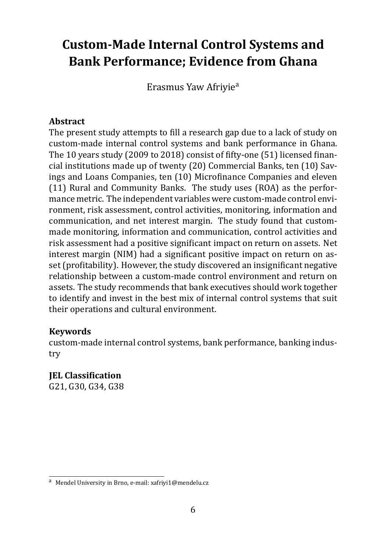## <span id="page-6-0"></span>**Custom-Made Internal Control Systems and Bank Performance; Evidence from Ghana**

Erasmus Yaw Afriyiea

#### **Abstract**

The present study attempts to fill a research gap due to a lack of study on custom-made internal control systems and bank performance in Ghana. The 10 years study (2009 to 2018) consist of fifty-one (51) licensed financial institutions made up of twenty (20) Commercial Banks, ten (10) Savings and Loans Companies, ten (10) Microfinance Companies and eleven (11) Rural and Community Banks. The study uses (ROA) as the performance metric. The independent variables were custom-made control environment, risk assessment, control activities, monitoring, information and communication, and net interest margin. The study found that custommade monitoring, information and communication, control activities and risk assessment had a positive significant impact on return on assets. Net interest margin (NIM) had a significant positive impact on return on asset (profitability). However, the study discovered an insignificant negative relationship between a custom-made control environment and return on assets. The study recommends that bank executives should work together to identify and invest in the best mix of internal control systems that suit their operations and cultural environment.

#### **Keywords**

custom-made internal control systems, bank performance, banking industry

**IEL Classification** G21, G30, G34, G38

<sup>a</sup> Mendel University in Brno, e-mail: xafriyi1@mendelu.cz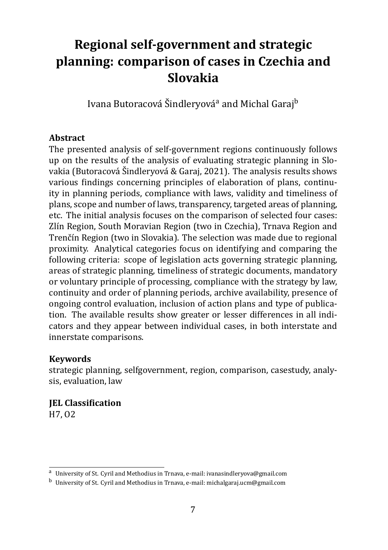# <span id="page-7-0"></span>**Regional self-government and strategic planning: comparison of cases in Czechia and Slovakia**

Ivana Butoracová Šindleryová<sup>a</sup> and Michal Garaj<sup>b</sup>

#### **Abstract**

The presented analysis of self-government regions continuously follows up on the results of the analysis of evaluating strategic planning in Slovakia (Butoracová Šindleryová & Garaj, 2021). The analysis results shows various findings concerning principles of elaboration of plans, continuity in planning periods, compliance with laws, validity and timeliness of plans, scope and number of laws, transparency, targeted areas of planning, etc. The initial analysis focuses on the comparison of selected four cases: Zlín Region, South Moravian Region (two in Czechia), Trnava Region and Trenčín Region (two in Slovakia). The selection was made due to regional proximity. Analytical categories focus on identifying and comparing the following criteria: scope of legislation acts governing strategic planning, areas of strategic planning, timeliness of strategic documents, mandatory or voluntary principle of processing, compliance with the strategy by law, continuity and order of planning periods, archive availability, presence of ongoing control evaluation, inclusion of action plans and type of publication. The available results show greater or lesser differences in all indicators and they appear between individual cases, in both interstate and innerstate comparisons.

#### **Keywords**

strategic planning, selfgovernment, region, comparison, casestudy, analysis, evaluation, law

**IEL Classification** H7, O2

<sup>a</sup> University of St. Cyril and Methodius in Trnava, e-mail: ivanasindleryova@gmail.com

<sup>b</sup> University of St. Cyril and Methodius in Trnava, e-mail: michalgaraj.ucm@gmail.com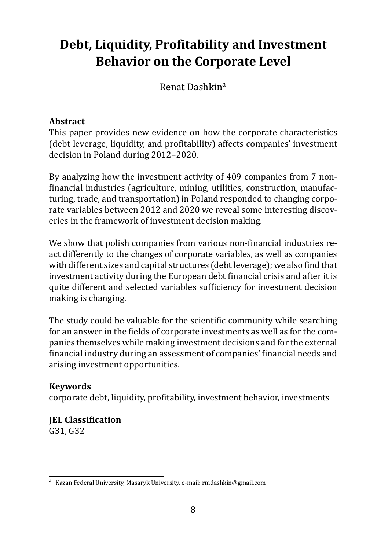# <span id="page-8-0"></span>Debt, Liquidity, Profitability and Investment **Behavior on the Corporate Level**

Renat Dashkina

#### **Abstract**

This paper provides new evidence on how the corporate characteristics (debt leverage, liquidity, and profitability) affects companies' investment decision in Poland during 2012–2020.

By analyzing how the investment activity of 409 companies from 7 nonfinancial industries (agriculture, mining, utilities, construction, manufacturing, trade, and transportation) in Poland responded to changing corporate variables between 2012 and 2020 we reveal some interesting discoveries in the framework of investment decision making.

We show that polish companies from various non-financial industries react differently to the changes of corporate variables, as well as companies with different sizes and capital structures (debt leverage); we also find that investment activity during the European debt financial crisis and after it is quite different and selected variables sufficiency for investment decision making is changing.

The study could be valuable for the scientific community while searching for an answer in the fields of corporate investments as well as for the companies themselves while making investment decisions and for the external financial industry during an assessment of companies' financial needs and arising investment opportunities.

### **Keywords**

corporate debt, liquidity, profitability, investment behavior, investments

#### **IEL Classification** G31, G32

<sup>a</sup> Kazan Federal University, Masaryk University, e-mail: rmdashkin@gmail.com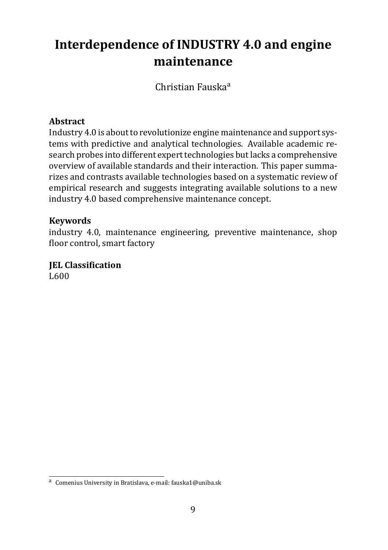# <span id="page-9-0"></span>**Interdependence of INDUSTRY 4.0 and engine maintenance**

Christian Fauskaa

#### **Abstract**

Industry 4.0 is about to revolutionize engine maintenance and support systems with predictive and analytical technologies. Available academic research probes into different expert technologies but lacks a comprehensive overview of available standards and their interaction. This paper summarizes and contrasts available technologies based on a systematic review of empirical research and suggests integrating available solutions to a new industry 4.0 based comprehensive maintenance concept.

#### **Keywords**

industry 4.0, maintenance engineering, preventive maintenance, shop floor control, smart factory

#### **JEL Classification** L600

a Comenius University in Bratislava, e-mail: fauska1@uniba.sk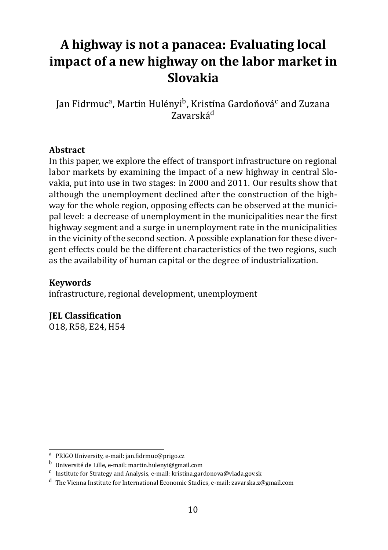# <span id="page-10-0"></span>**A highway is not a panacea: Evaluating local impact of a new highway on the labor market in Slovakia**

Jan Fidrmuc<sup>a</sup>, Martin Hulényi<sup>b</sup>, Kristína Gardoňová<sup>c</sup> and Zuzana Zavarskád

#### **Abstract**

In this paper, we explore the effect of transport infrastructure on regional labor markets by examining the impact of a new highway in central Slovakia, put into use in two stages: in 2000 and 2011. Our results show that although the unemployment declined after the construction of the highway for the whole region, opposing effects can be observed at the municipal level: a decrease of unemployment in the municipalities near the first highway segment and a surge in unemployment rate in the municipalities in the vicinity of the second section. A possible explanation for these divergent effects could be the different characteristics of the two regions, such as the availability of human capital or the degree of industrialization.

**Keywords**

infrastructure, regional development, unemployment

**JEL Classification** 

O18, R58, E24, H54

a PRIGO University, e-mail: jan.fidrmuc@prigo.cz

<sup>b</sup> Université de Lille, e-mail: martin.hulenyi@gmail.com

<sup>&</sup>lt;sup>c</sup> Institute for Strategy and Analysis, e-mail: kristina.gardonova@vlada.gov.sk

<sup>d</sup> The Vienna Institute for International Economic Studies, e-mail: zavarska.z@gmail.com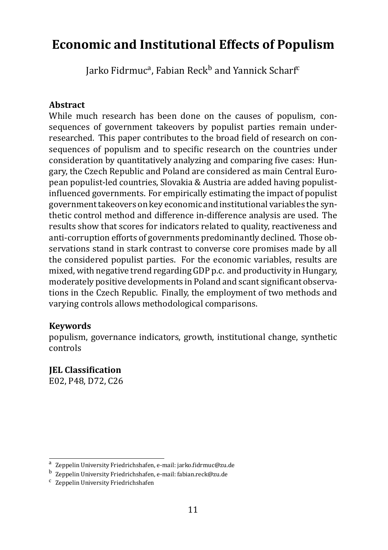### <span id="page-11-0"></span>**Economic and Institutional Effects of Populism**

Jarko Fidrmuc<sup>a</sup>, Fabian Reck<sup>b</sup> and Yannick Scharf<sup>c</sup>

#### **Abstract**

While much research has been done on the causes of populism, consequences of government takeovers by populist parties remain underresearched. This paper contributes to the broad field of research on consequences of populism and to specific research on the countries under consideration by quantitatively analyzing and comparing five cases: Hungary, the Czech Republic and Poland are considered as main Central European populist-led countries, Slovakia & Austria are added having populistinfluenced governments. For empirically estimating the impact of populist government takeovers on key economic and institutional variables the synthetic control method and difference in-difference analysis are used. The results show that scores for indicators related to quality, reactiveness and anti-corruption efforts of governments predominantly declined. Those observations stand in stark contrast to converse core promises made by all the considered populist parties. For the economic variables, results are mixed, with negative trend regarding GDP p.c. and productivity in Hungary, moderately positive developments in Poland and scant significant observations in the Czech Republic. Finally, the employment of two methods and varying controls allows methodological comparisons.

#### **Keywords**

populism, governance indicators, growth, institutional change, synthetic controls

**IEL Classification** 

E02, P48, D72, C26

<sup>&</sup>lt;sup>a</sup> Zeppelin University Friedrichshafen, e-mail: jarko.fidrmuc@zu.de

<sup>&</sup>lt;sup>b</sup> Zeppelin University Friedrichshafen, e-mail: fabian.reck@zu.de

c Zeppelin University Friedrichshafen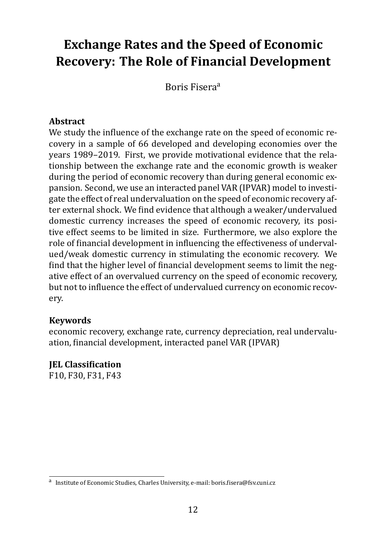### <span id="page-12-0"></span>**Exchange Rates and the Speed of Economic Recovery: The Role of Financial Development**

Boris Fisera<sup>a</sup>

#### **Abstract**

We study the influence of the exchange rate on the speed of economic recovery in a sample of 66 developed and developing economies over the years 1989–2019. First, we provide motivational evidence that the relationship between the exchange rate and the economic growth is weaker during the period of economic recovery than during general economic expansion. Second, we use an interacted panel VAR (IPVAR) model to investigate the effect of real undervaluation on the speed of economic recovery after external shock. We find evidence that although a weaker/undervalued domestic currency increases the speed of economic recovery, its positive effect seems to be limited in size. Furthermore, we also explore the role of financial development in influencing the effectiveness of undervalued/weak domestic currency in stimulating the economic recovery. We find that the higher level of financial development seems to limit the negative effect of an overvalued currency on the speed of economic recovery, but not to influence the effect of undervalued currency on economic recovery.

#### **Keywords**

economic recovery, exchange rate, currency depreciation, real undervaluation, financial development, interacted panel VAR (IPVAR)

**IEL Classification** F10, F30, F31, F43

a Institute of Economic Studies, Charles University, e-mail: boris.fisera@fsv.cuni.cz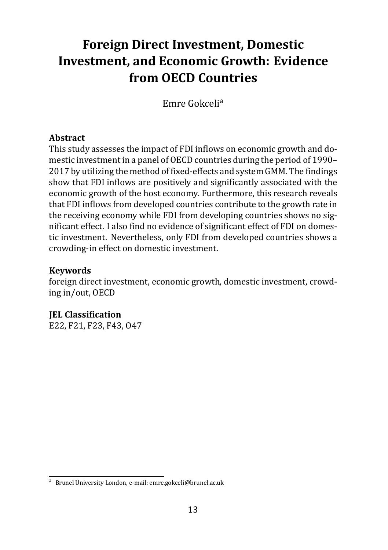# <span id="page-13-0"></span>**Foreign Direct Investment, Domestic Investment, and Economic Growth: Evidence from OECD Countries**

Emre Gokcelia

#### **Abstract**

This study assesses the impact of FDI inflows on economic growth and domestic investment in a panel of OECD countries during the period of 1990– 2017 by utilizing the method of fixed-effects and system GMM. The findings show that FDI inflows are positively and significantly associated with the economic growth of the host economy. Furthermore, this research reveals that FDI inflows from developed countries contribute to the growth rate in the receiving economy while FDI from developing countries shows no significant effect. I also find no evidence of significant effect of FDI on domestic investment. Nevertheless, only FDI from developed countries shows a crowding-in effect on domestic investment.

#### **Keywords**

foreign direct investment, economic growth, domestic investment, crowding in/out, OECD

**IEL Classification** E22, F21, F23, F43, O47

<sup>a</sup> Brunel University London, e-mail: emre.gokceli@brunel.ac.uk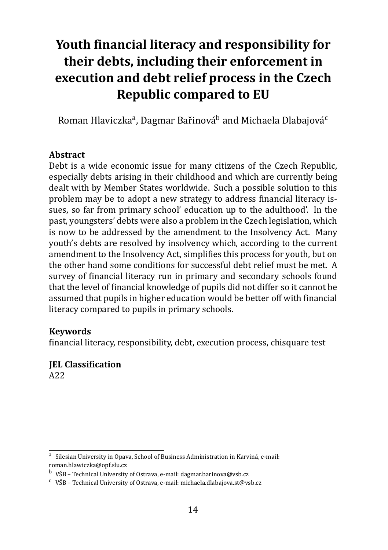# <span id="page-14-0"></span>**Youth ϐinancial literacy and responsibility for their debts, including their enforcement in execution and debt relief process in the Czech Republic compared to EU**

Roman Hlaviczka<sup>a</sup>, Dagmar Bařinová<sup>b</sup> and Michaela Dlabajová<sup>c</sup>

#### **Abstract**

Debt is a wide economic issue for many citizens of the Czech Republic, especially debts arising in their childhood and which are currently being dealt with by Member States worldwide. Such a possible solution to this problem may be to adopt a new strategy to address financial literacy issues, so far from primary school' education up to the adulthood'. In the past, youngsters' debts were also a problem in the Czech legislation, which is now to be addressed by the amendment to the Insolvency Act. Many youth's debts are resolved by insolvency which, according to the current amendment to the Insolvency Act, simplifies this process for youth, but on the other hand some conditions for successful debt relief must be met. A survey of financial literacy run in primary and secondary schools found that the level of financial knowledge of pupils did not differ so it cannot be assumed that pupils in higher education would be better off with financial literacy compared to pupils in primary schools.

#### **Keywords**

financial literacy, responsibility, debt, execution process, chisquare test

### **IEL Classification**

A22

<sup>&</sup>lt;sup>a</sup> Silesian University in Opava, School of Business Administration in Karviná, e-mail: roman.hlawiczka@opf.slu.cz

 $<sup>b</sup>$  VŠB – Technical University of Ostrava, e-mail: dagmar.barinova@vsb.cz</sup>

 $\rm ^c$  VŠB – Technical University of Ostrava, e-mail: michaela.dlabajova.st@vsb.cz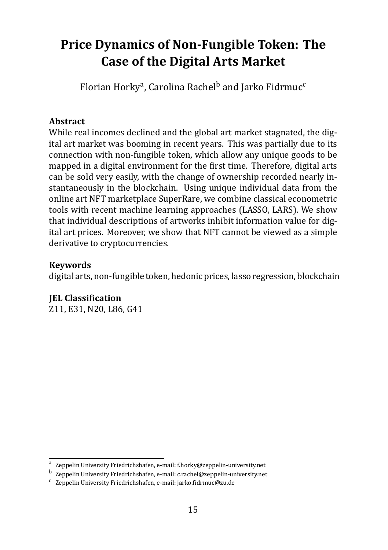### <span id="page-15-0"></span>**Price Dynamics of Non-Fungible Token: The Case of the Digital Arts Market**

Florian Horky<sup>a</sup>, Carolina Rachel<sup>b</sup> and Jarko Fidrmuc<sup>c</sup>

#### **Abstract**

While real incomes declined and the global art market stagnated, the digital art market was booming in recent years. This was partially due to its connection with non-fungible token, which allow any unique goods to be mapped in a digital environment for the first time. Therefore, digital arts can be sold very easily, with the change of ownership recorded nearly instantaneously in the blockchain. Using unique individual data from the online art NFT marketplace SuperRare, we combine classical econometric tools with recent machine learning approaches (LASSO, LARS). We show that individual descriptions of artworks inhibit information value for digital art prices. Moreover, we show that NFT cannot be viewed as a simple derivative to cryptocurrencies.

#### **Keywords**

digital arts, non-fungible token, hedonic prices, lasso regression, blockchain

#### **JEL Classification**

Z11, E31, N20, L86, G41

<sup>&</sup>lt;sup>a</sup> Zeppelin University Friedrichshafen, e-mail: f.horky@zeppelin-university.net

<sup>&</sup>lt;sup>b</sup> Zeppelin University Friedrichshafen, e-mail: c.rachel@zeppelin-university.net

<sup>&</sup>lt;sup>c</sup> Zeppelin University Friedrichshafen, e-mail: jarko.fidrmuc@zu.de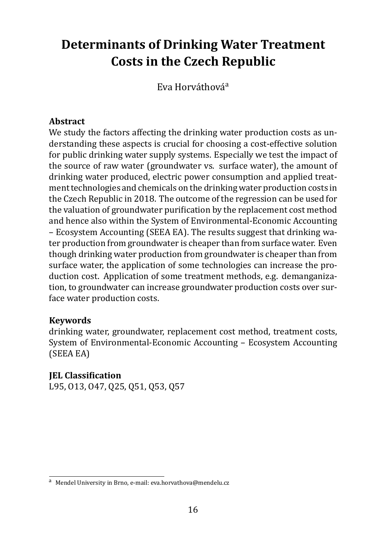### <span id="page-16-0"></span>**Determinants of Drinking Water Treatment Costs in the Czech Republic**

Eva Horváthová<sup>a</sup>

#### **Abstract**

We study the factors affecting the drinking water production costs as understanding these aspects is crucial for choosing a cost-effective solution for public drinking water supply systems. Especially we test the impact of the source of raw water (groundwater vs. surface water), the amount of drinking water produced, electric power consumption and applied treatment technologies and chemicals on the drinking water production costs in the Czech Republic in 2018. The outcome of the regression can be used for the valuation of groundwater purification by the replacement cost method and hence also within the System of Environmental-Economic Accounting – Ecosystem Accounting (SEEA EA). The results suggest that drinking water production from groundwater is cheaper than from surface water. Even though drinking water production from groundwater is cheaper than from surface water, the application of some technologies can increase the production cost. Application of some treatment methods, e.g. demanganization, to groundwater can increase groundwater production costs over surface water production costs.

#### **Keywords**

drinking water, groundwater, replacement cost method, treatment costs, System of Environmental-Economic Accounting – Ecosystem Accounting (SEEA EA)

#### **IEL Classification**

L95, O13, O47, Q25, Q51, Q53, Q57

<sup>a</sup> Mendel University in Brno, e-mail: eva.horvathova@mendelu.cz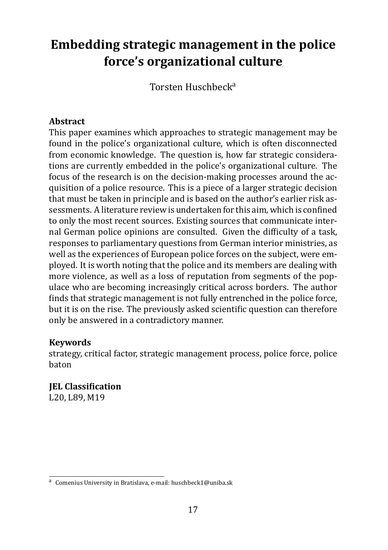# <span id="page-17-0"></span>**Embedding strategic management in the police force's organizational culture**

Torsten Huschbecka

#### **Abstract**

This paper examines which approaches to strategic management may be found in the police's organizational culture, which is often disconnected from economic knowledge. The question is, how far strategic considerations are currently embedded in the police's organizational culture. The focus of the research is on the decision-making processes around the acquisition of a police resource. This is a piece of a larger strategic decision that must be taken in principle and is based on the author's earlier risk assessments. A literature review is undertaken for this aim, which is confined to only the most recent sources. Existing sources that communicate internal German police opinions are consulted. Given the difficulty of a task, responses to parliamentary questions from German interior ministries, as well as the experiences of European police forces on the subject, were employed. It is worth noting that the police and its members are dealing with more violence, as well as a loss of reputation from segments of the populace who are becoming increasingly critical across borders. The author finds that strategic management is not fully entrenched in the police force, but it is on the rise. The previously asked scientific question can therefore only be answered in a contradictory manner.

#### **Keywords**

strategy, critical factor, strategic management process, police force, police baton

**IEL Classification** L20, L89, M19

<sup>&</sup>lt;sup>a</sup> Comenius University in Bratislava, e-mail: huschbeck1@uniba.sk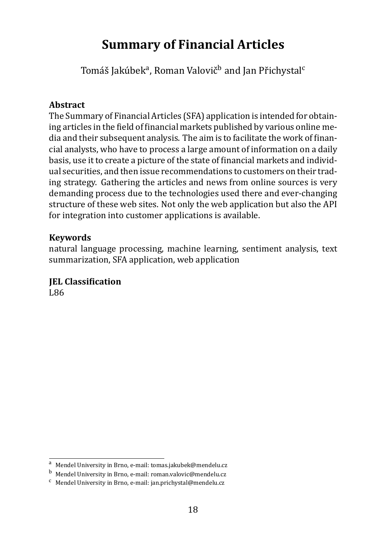### <span id="page-18-0"></span>**Summary of Financial Articles**

Tomáš Jakúbek<sup>a</sup>, Roman Valovič<sup>b</sup> and Jan Přichystal<sup>c</sup>

#### **Abstract**

The Summary of Financial Articles (SFA) application is intended for obtaining articles in the field of financial markets published by various online media and their subsequent analysis. The aim is to facilitate the work of financial analysts, who have to process a large amount of information on a daily basis, use it to create a picture of the state of financial markets and individual securities, and then issue recommendations to customers on their trading strategy. Gathering the articles and news from online sources is very demanding process due to the technologies used there and ever-changing structure of these web sites. Not only the web application but also the API for integration into customer applications is available.

#### **Keywords**

natural language processing, machine learning, sentiment analysis, text summarization, SFA application, web application

### **JEL Classification**

L86

<sup>a</sup> Mendel University in Brno, e-mail: tomas.jakubek@mendelu.cz

<sup>b</sup> Mendel University in Brno, e-mail: roman.valovic@mendelu.cz

<sup>c</sup> Mendel University in Brno, e-mail: jan.prichystal@mendelu.cz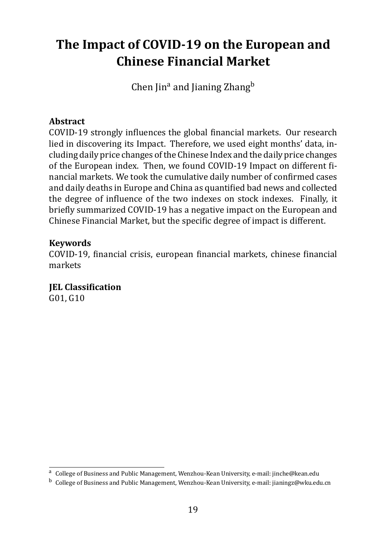### <span id="page-19-0"></span>**The Impact of COVID-19 on the European and Chinese Financial Market**

Chen  $\text{lin}^a$  and Jianing Zhang<sup>b</sup>

#### **Abstract**

COVID-19 strongly influences the global financial markets. Our research lied in discovering its Impact. Therefore, we used eight months' data, including daily price changes of the Chinese Index and the daily price changes of the European index. Then, we found COVID-19 Impact on different financial markets. We took the cumulative daily number of confirmed cases and daily deaths in Europe and China as quantified bad news and collected the degree of influence of the two indexes on stock indexes. Finally, it briefly summarized COVID-19 has a negative impact on the European and Chinese Financial Market, but the specific degree of impact is different.

#### **Keywords**

COVID-19, financial crisis, european financial markets, chinese financial markets

**JEL Classification** G01, G10

<sup>&</sup>lt;sup>a</sup> College of Business and Public Management, Wenzhou-Kean University, e-mail: jinche@kean.edu

<sup>&</sup>lt;sup>b</sup> College of Business and Public Management, Wenzhou-Kean University, e-mail: jianingz@wku.edu.cn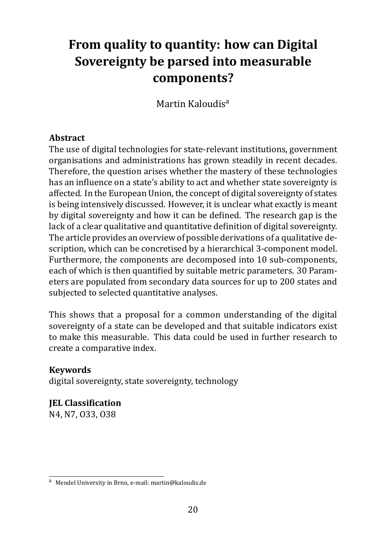### <span id="page-20-0"></span>**From quality to quantity: how can Digital Sovereignty be parsed into measurable components?**

Martin Kaloudis<sup>a</sup>

#### **Abstract**

The use of digital technologies for state-relevant institutions, government organisations and administrations has grown steadily in recent decades. Therefore, the question arises whether the mastery of these technologies has an influence on a state's ability to act and whether state sovereignty is affected. In the European Union, the concept of digital sovereignty of states is being intensively discussed. However, it is unclear what exactly is meant by digital sovereignty and how it can be defined. The research gap is the lack of a clear qualitative and quantitative definition of digital sovereignty. The article provides an overview of possible derivations of a qualitative description, which can be concretised by a hierarchical 3-component model. Furthermore, the components are decomposed into 10 sub-components, each of which is then quantified by suitable metric parameters. 30 Parameters are populated from secondary data sources for up to 200 states and subjected to selected quantitative analyses.

This shows that a proposal for a common understanding of the digital sovereignty of a state can be developed and that suitable indicators exist to make this measurable. This data could be used in further research to create a comparative index.

#### **Keywords**

digital sovereignty, state sovereignty, technology

**IEL Classification** N4, N7, O33, O38

<sup>a</sup> Mendel University in Brno, e-mail: martin@kaloudis.de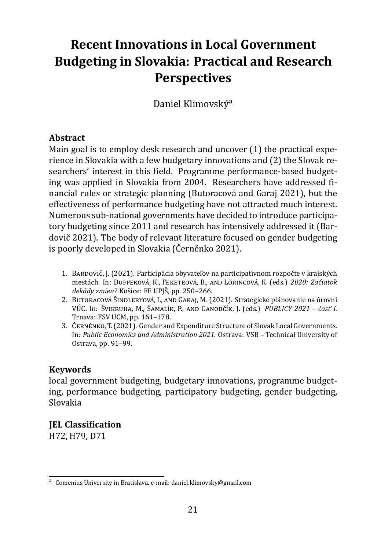# **Recent Innovations in Local Government Budgeting in Slovakia: Practical and Research Perspectives**

Daniel Klimovskýa

#### **Abstract**

Main goal is to employ desk research and uncover (1) the practical experience in Slovakia with a few budgetary innovations and (2) the Slovak researchers' interest in this field. Programme performance-based budgeting was applied in Slovakia from 2004. Researchers have addressed financial rules or strategic planning (Butoracová and Garaj 2021), but the effectiveness of performance budgeting have not attracted much interest. Numerous sub-national governments have decided to introduce participatory budgeting since 2011 and research has intensively addressed it (Bardovič 2021). The body of relevant literature focused on gender budgeting is poorly developed in Slovakia (Černěnko 2021).

- 1. BARDOVIČ, J. (2021). Participácia obyvateľov na participatívnom rozpočte v krajských mestách. In: DUFFEKOVÁ, K., FEKETEOVÁ, B., AND LÖRINCOVÁ, K. (eds.) *2020: Začiatok dekády zmien?* Košice: FF UPJSƽ, pp. 250–266.
- 2. BUTORACOVÁ ŠINDLERYOVÁ, I., AND GARAJ, M. (2021). Strategické plánovanie na úrovni VÚC. In: ŠVIKRUHA, M., ŠAMALÍK, P., AND GANOBČÍK, J. (eds.) *PUBLICY 2021 – časť I.* Trnava: FSV UCM, pp. 161–178.
- <span id="page-21-0"></span>3. ČERNĚNKO, T. (2021). Gender and Expenditure Structure of Slovak Local Governments. In: *Public Economics and Administration 2021.* Ostrava: VSB – Technical University of Ostrava, pp. 91–99.

#### **Keywords**

local government budgeting, budgetary innovations, programme budgeting, performance budgeting, participatory budgeting, gender budgeting, Slovakia

#### **JEL Classification**

H72, H79, D71

<sup>&</sup>lt;sup>a</sup> Comenius University in Bratislava, e-mail: daniel.klimovsky@gmail.com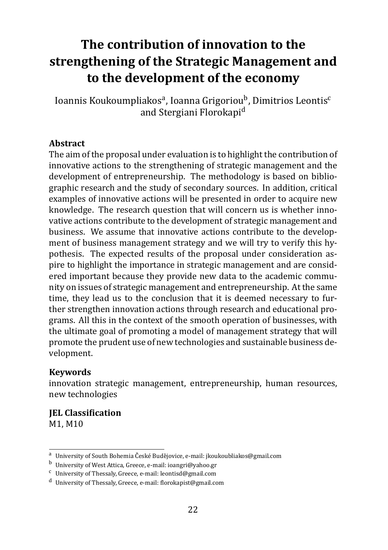# <span id="page-22-0"></span>**The contribution of innovation to the strengthening of the Strategic Management and to the development of the economy**

Ioannis Koukoumpliakos<sup>a</sup>, Ioanna Grigoriou<sup>b</sup>, Dimitrios Leontis<sup>c</sup> and Stergiani Florokapid

#### **Abstract**

The aim of the proposal under evaluation is to highlight the contribution of innovative actions to the strengthening of strategic management and the development of entrepreneurship. The methodology is based on bibliographic research and the study of secondary sources. In addition, critical examples of innovative actions will be presented in order to acquire new knowledge. The research question that will concern us is whether innovative actions contribute to the development of strategic management and business. We assume that innovative actions contribute to the development of business management strategy and we will try to verify this hypothesis. The expected results of the proposal under consideration aspire to highlight the importance in strategic management and are considered important because they provide new data to the academic community on issues of strategic management and entrepreneurship. At the same time, they lead us to the conclusion that it is deemed necessary to further strengthen innovation actions through research and educational programs. All this in the context of the smooth operation of businesses, with the ultimate goal of promoting a model of management strategy that will promote the prudent use of new technologies and sustainable business development.

#### **Keywords**

innovation strategic management, entrepreneurship, human resources, new technologies

### **JEL Classification**

M1, M10

<sup>&</sup>lt;sup>a</sup> University of South Bohemia České Budějovice, e-mail: jkoukoubliakos@gmail.com

<sup>b</sup> University of West Attica, Greece, e-mail: ioangri@yahoo.gr

 $c$  University of Thessaly, Greece, e-mail: leontisd@gmail.com

<sup>d</sup> University of Thessaly, Greece, e-mail: ϐlorokapist@gmail.com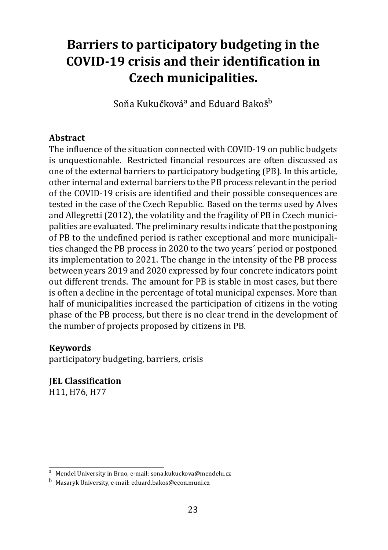# <span id="page-23-0"></span>**Barriers to participatory budgeting in the COVID-19 crisis and their identification in Czech municipalities.**

Soňa Kukučková<sup>a</sup> and Eduard Bakoš<sup>b</sup>

#### **Abstract**

The influence of the situation connected with COVID-19 on public budgets is unquestionable. Restricted financial resources are often discussed as one of the external barriers to participatory budgeting (PB). In this article, other internal and external barriers to the PB process relevant in the period of the COVID-19 crisis are identified and their possible consequences are tested in the case of the Czech Republic. Based on the terms used by Alves and Allegretti (2012), the volatility and the fragility of PB in Czech municipalities are evaluated. The preliminary results indicate that the postponing of PB to the undefined period is rather exceptional and more municipalities changed the PB process in 2020 to the two years´ period or postponed its implementation to 2021. The change in the intensity of the PB process between years 2019 and 2020 expressed by four concrete indicators point out different trends. The amount for PB is stable in most cases, but there is often a decline in the percentage of total municipal expenses. More than half of municipalities increased the participation of citizens in the voting phase of the PB process, but there is no clear trend in the development of the number of projects proposed by citizens in PB.

#### **Keywords**

participatory budgeting, barriers, crisis

**JEL Classification** H11, H76, H77

<sup>a</sup> Mendel University in Brno, e-mail: sona.kukuckova@mendelu.cz

<sup>b</sup> Masaryk University, e-mail: eduard.bakos@econ.muni.cz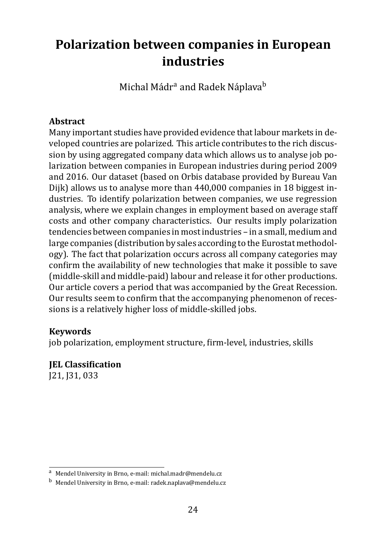### <span id="page-24-0"></span>**Polarization between companies in European industries**

Michal Mádr<sup>a</sup> and Radek Náplava<sup>b</sup>

#### **Abstract**

Many important studies have provided evidence that labour markets in developed countries are polarized. This article contributes to the rich discussion by using aggregated company data which allows us to analyse job polarization between companies in European industries during period 2009 and 2016. Our dataset (based on Orbis database provided by Bureau Van Dijk) allows us to analyse more than 440,000 companies in 18 biggest industries. To identify polarization between companies, we use regression analysis, where we explain changes in employment based on average staff costs and other company characteristics. Our results imply polarization tendencies between companies in most industries – in a small, medium and large companies (distribution by sales according to the Eurostat methodology). The fact that polarization occurs across all company categories may confirm the availability of new technologies that make it possible to save (middle-skill and middle-paid) labour and release it for other productions. Our article covers a period that was accompanied by the Great Recession. Our results seem to confirm that the accompanying phenomenon of recessions is a relatively higher loss of middle-skilled jobs.

#### **Keywords**

job polarization, employment structure, firm-level, industries, skills

### **IEL Classification**

J21, J31, 033

<sup>a</sup> Mendel University in Brno, e-mail: michal.madr@mendelu.cz

<sup>b</sup> Mendel University in Brno, e-mail: radek.naplava@mendelu.cz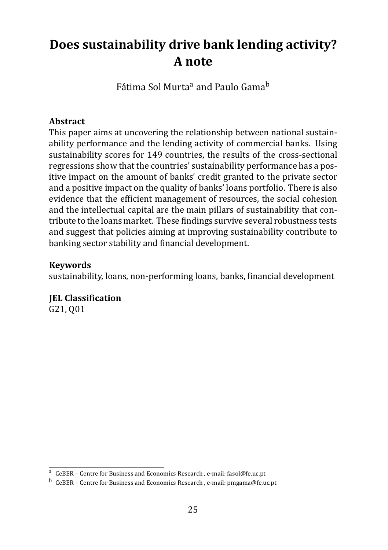# <span id="page-25-0"></span>**Does sustainability drive bank lending activity? A note**

Fátima Sol Murta<sup>a</sup> and Paulo Gama<sup>b</sup>

#### **Abstract**

This paper aims at uncovering the relationship between national sustainability performance and the lending activity of commercial banks. Using sustainability scores for 149 countries, the results of the cross-sectional regressions show that the countries' sustainability performance has a positive impact on the amount of banks' credit granted to the private sector and a positive impact on the quality of banks' loans portfolio. There is also evidence that the efficient management of resources, the social cohesion and the intellectual capital are the main pillars of sustainability that contribute to the loans market. These findings survive several robustness tests and suggest that policies aiming at improving sustainability contribute to banking sector stability and financial development.

#### **Keywords**

sustainability, loans, non-performing loans, banks, financial development

**JEL Classification** 

G21, Q01

a CeBER - Centre for Business and Economics Research, e-mail: fasol@fe.uc.pt

<sup>&</sup>lt;sup>b</sup> CeBER – Centre for Business and Economics Research , e-mail: pmgama@fe.uc.pt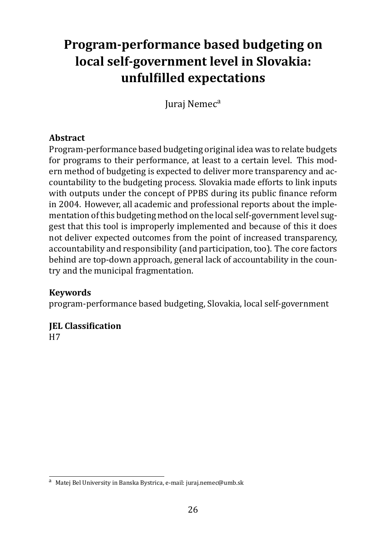# <span id="page-26-0"></span>**Program-performance based budgeting on local self-government level in Slovakia: unfulϐilled expectations**

Jurai Nemec<sup>a</sup>

#### **Abstract**

Program-performance based budgeting original idea was to relate budgets for programs to their performance, at least to a certain level. This modern method of budgeting is expected to deliver more transparency and accountability to the budgeting process. Slovakia made efforts to link inputs with outputs under the concept of PPBS during its public finance reform in 2004. However, all academic and professional reports about the implementation of this budgeting method on the local self-government level suggest that this tool is improperly implemented and because of this it does not deliver expected outcomes from the point of increased transparency, accountability and responsibility (and participation, too). The core factors behind are top-down approach, general lack of accountability in the country and the municipal fragmentation.

#### **Keywords**

program-performance based budgeting, Slovakia, local self-government

### **JEL Classification**

H7

<sup>a</sup> Matej Bel University in Banska Bystrica, e-mail: juraj.nemec@umb.sk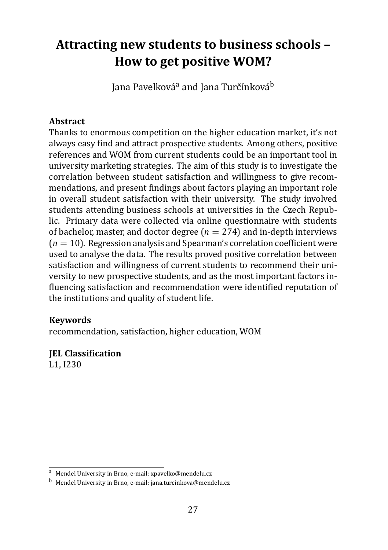### <span id="page-27-0"></span>**Attracting new students to business schools – How to get positive WOM?**

Jana Pavelková<sup>a</sup> and Jana Turčínková<sup>b</sup>

#### **Abstract**

Thanks to enormous competition on the higher education market, it's not always easy find and attract prospective students. Among others, positive references and WOM from current students could be an important tool in university marketing strategies. The aim of this study is to investigate the correlation between student satisfaction and willingness to give recommendations, and present findings about factors playing an important role in overall student satisfaction with their university. The study involved students attending business schools at universities in the Czech Republic. Primary data were collected via online questionnaire with students of bachelor, master, and doctor degree  $(n = 274)$  and in-depth interviews  $(n = 10)$ . Regression analysis and Spearman's correlation coefficient were used to analyse the data. The results proved positive correlation between satisfaction and willingness of current students to recommend their university to new prospective students, and as the most important factors influencing satisfaction and recommendation were identified reputation of the institutions and quality of student life.

#### **Keywords**

recommendation, satisfaction, higher education, WOM

#### **JEL Classification**

L1, I230

<sup>a</sup> Mendel University in Brno, e-mail: xpavelko@mendelu.cz

<sup>b</sup> Mendel University in Brno, e-mail: jana.turcinkova@mendelu.cz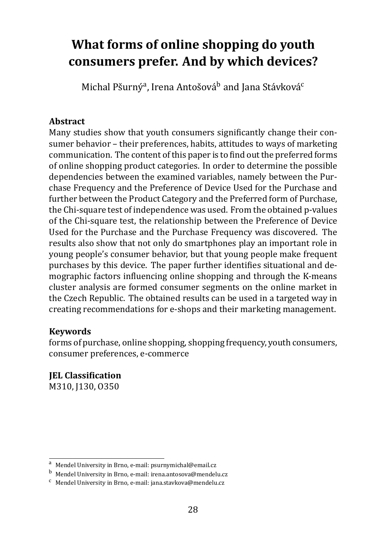### <span id="page-28-0"></span>**What forms of online shopping do youth consumers prefer. And by which devices?**

Michal Pšurný<sup>a</sup>, Irena Antošová<sup>b</sup> and Jana Stávková<sup>c</sup>

#### **Abstract**

Many studies show that youth consumers significantly change their consumer behavior – their preferences, habits, attitudes to ways of marketing communication. The content of this paper is to find out the preferred forms of online shopping product categories. In order to determine the possible dependencies between the examined variables, namely between the Purchase Frequency and the Preference of Device Used for the Purchase and further between the Product Category and the Preferred form of Purchase, the Chi-square test of independence was used. From the obtained p-values of the Chi-square test, the relationship between the Preference of Device Used for the Purchase and the Purchase Frequency was discovered. The results also show that not only do smartphones play an important role in young people's consumer behavior, but that young people make frequent purchases by this device. The paper further identifies situational and demographic factors influencing online shopping and through the K-means cluster analysis are formed consumer segments on the online market in the Czech Republic. The obtained results can be used in a targeted way in creating recommendations for e-shops and their marketing management.

#### **Keywords**

forms of purchase, online shopping, shopping frequency, youth consumers, consumer preferences, e-commerce

**IEL Classification** M310, J130, O350

<sup>a</sup> Mendel University in Brno, e-mail: psurnymichal@email.cz

<sup>b</sup> Mendel University in Brno, e-mail: irena.antosova@mendelu.cz

 $c$  Mendel University in Brno, e-mail: jana.stavkova@mendelu.cz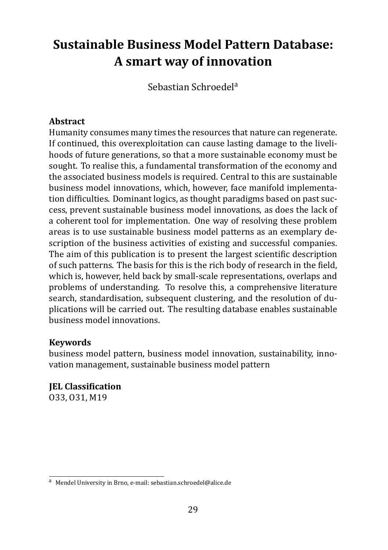# <span id="page-29-0"></span>**Sustainable Business Model Pattern Database: A smart way of innovation**

Sebastian Schroedela

#### **Abstract**

Humanity consumes many times the resources that nature can regenerate. If continued, this overexploitation can cause lasting damage to the livelihoods of future generations, so that a more sustainable economy must be sought. To realise this, a fundamental transformation of the economy and the associated business models is required. Central to this are sustainable business model innovations, which, however, face manifold implementation difficulties. Dominant logics, as thought paradigms based on past success, prevent sustainable business model innovations, as does the lack of a coherent tool for implementation. One way of resolving these problem areas is to use sustainable business model patterns as an exemplary description of the business activities of existing and successful companies. The aim of this publication is to present the largest scientific description of such patterns. The basis for this is the rich body of research in the field, which is, however, held back by small-scale representations, overlaps and problems of understanding. To resolve this, a comprehensive literature search, standardisation, subsequent clustering, and the resolution of duplications will be carried out. The resulting database enables sustainable business model innovations.

#### **Keywords**

business model pattern, business model innovation, sustainability, innovation management, sustainable business model pattern

**IEL Classification** O33, O31, M19

<sup>a</sup> Mendel University in Brno, e-mail: sebastian.schroedel@alice.de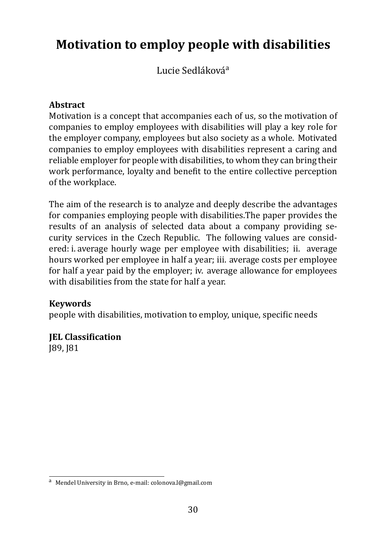### <span id="page-30-0"></span>**Motivation to employ people with disabilities**

Lucie Sedláková<sup>a</sup>

#### **Abstract**

Motivation is a concept that accompanies each of us, so the motivation of companies to employ employees with disabilities will play a key role for the employer company, employees but also society as a whole. Motivated companies to employ employees with disabilities represent a caring and reliable employer for people with disabilities, to whom they can bring their work performance, loyalty and benefit to the entire collective perception of the workplace.

The aim of the research is to analyze and deeply describe the advantages for companies employing people with disabilities.The paper provides the results of an analysis of selected data about a company providing security services in the Czech Republic. The following values are considered: i. average hourly wage per employee with disabilities; ii. average hours worked per employee in half a year; iii. average costs per employee for half a year paid by the employer; iv. average allowance for employees with disabilities from the state for half a year.

#### **Keywords**

people with disabilities, motivation to employ, unique, specific needs

#### **JEL Classification** J89, J81

<sup>a</sup> Mendel University in Brno, e-mail: colonova.l@gmail.com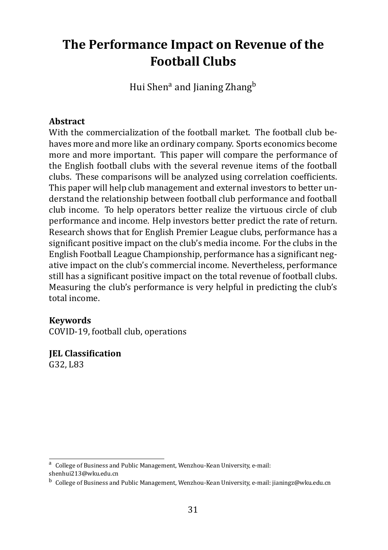### <span id="page-31-0"></span>**The Performance Impact on Revenue of the Football Clubs**

Hui Shen<sup>a</sup> and Jianing Zhang<sup>b</sup>

#### **Abstract**

With the commercialization of the football market. The football club behaves more and more like an ordinary company. Sports economics become more and more important. This paper will compare the performance of the English football clubs with the several revenue items of the football clubs. These comparisons will be analyzed using correlation coefficients. This paper will help club management and external investors to better understand the relationship between football club performance and football club income. To help operators better realize the virtuous circle of club performance and income. Help investors better predict the rate of return. Research shows that for English Premier League clubs, performance has a significant positive impact on the club's media income. For the clubs in the English Football League Championship, performance has a significant negative impact on the club's commercial income. Nevertheless, performance still has a significant positive impact on the total revenue of football clubs. Measuring the club's performance is very helpful in predicting the club's total income.

#### **Keywords**

COVID-19, football club, operations

**JEL Classification** G32, L83

a College of Business and Public Management, Wenzhou-Kean University, e-mail: shenhui213@wku.edu.cn

<sup>&</sup>lt;sup>b</sup> College of Business and Public Management, Wenzhou-Kean University, e-mail: jianingz@wku.edu.cn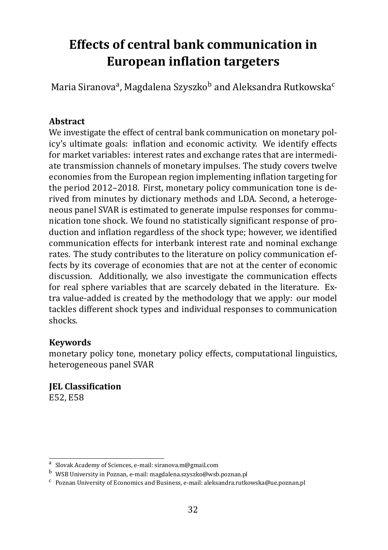# <span id="page-32-0"></span>**Effects of central bank communication in European inflation targeters**

Maria Siranova<sup>a</sup>, Magdalena Szyszko<sup>b</sup> and Aleksandra Rutkowska<sup>c</sup>

#### **Abstract**

We investigate the effect of central bank communication on monetary policy's ultimate goals: inflation and economic activity. We identify effects for market variables: interest rates and exchange rates that are intermediate transmission channels of monetary impulses. The study covers twelve economies from the European region implementing inϐlation targeting for the period 2012–2018. First, monetary policy communication tone is derived from minutes by dictionary methods and LDA. Second, a heterogeneous panel SVAR is estimated to generate impulse responses for communication tone shock. We found no statistically significant response of production and inflation regardless of the shock type; however, we identified communication effects for interbank interest rate and nominal exchange rates. The study contributes to the literature on policy communication effects by its coverage of economies that are not at the center of economic discussion. Additionally, we also investigate the communication effects for real sphere variables that are scarcely debated in the literature. Extra value-added is created by the methodology that we apply: our model tackles different shock types and individual responses to communication shocks.

#### **Keywords**

monetary policy tone, monetary policy effects, computational linguistics, heterogeneous panel SVAR

**JEL Classification** E52, E58

a Slovak Academy of Sciences, e-mail: siranova.m@gmail.com

<sup>b</sup> WSB University in Poznan, e-mail: magdalena.szyszko@wsb.poznan.pl

c Poznan University of Economics and Business, e-mail: aleksandra.rutkowska@ue.poznan.pl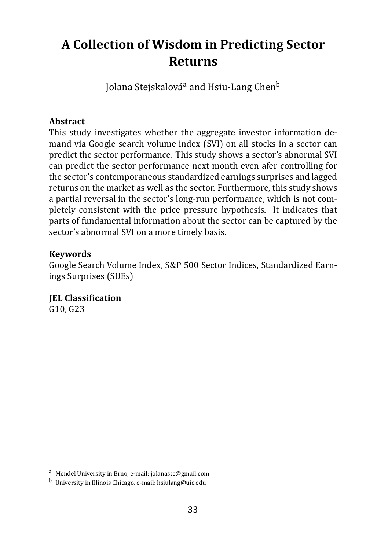### <span id="page-33-0"></span>**A Collection of Wisdom in Predicting Sector Returns**

Jolana Stejskalová<sup>a</sup> and Hsiu-Lang Chen<sup>b</sup>

#### **Abstract**

This study investigates whether the aggregate investor information demand via Google search volume index (SVI) on all stocks in a sector can predict the sector performance. This study shows a sector's abnormal SVI can predict the sector performance next month even afer controlling for the sector's contemporaneous standardized earnings surprises and lagged returns on the market as well as the sector. Furthermore, this study shows a partial reversal in the sector's long-run performance, which is not completely consistent with the price pressure hypothesis. It indicates that parts of fundamental information about the sector can be captured by the sector's abnormal SVI on a more timely basis.

#### **Keywords**

Google Search Volume Index, S&P 500 Sector Indices, Standardized Earnings Surprises (SUEs)

**JEL Classification** G10, G23

<sup>a</sup> Mendel University in Brno, e-mail: jolanaste@gmail.com

<sup>b</sup> University in Illinois Chicago, e-mail: hsiulang@uic.edu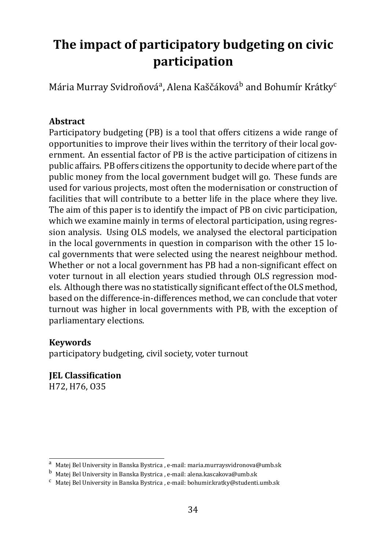# <span id="page-34-0"></span>**The impact of participatory budgeting on civic participation**

Mária Murray Svidroňová<sup>a</sup>, Alena Kaščáková<sup>b</sup> and Bohumír Krátky<sup>c</sup>

#### **Abstract**

Participatory budgeting (PB) is a tool that offers citizens a wide range of opportunities to improve their lives within the territory of their local government. An essential factor of PB is the active participation of citizens in public affairs. PB offers citizens the opportunity to decide where part of the public money from the local government budget will go. These funds are used for various projects, most often the modernisation or construction of facilities that will contribute to a better life in the place where they live. The aim of this paper is to identify the impact of PB on civic participation, which we examine mainly in terms of electoral participation, using regression analysis. Using OLS models, we analysed the electoral participation in the local governments in question in comparison with the other 15 local governments that were selected using the nearest neighbour method. Whether or not a local government has PB had a non-significant effect on voter turnout in all election years studied through OLS regression models. Although there was no statistically significant effect of the OLS method, based on the difference-in-differences method, we can conclude that voter turnout was higher in local governments with PB, with the exception of parliamentary elections.

#### **Keywords**

participatory budgeting, civil society, voter turnout

### **IEL Classification**

H72, H76, O35

a Matej Bel University in Banska Bystrica, e-mail: maria.murraysvidronova@umb.sk

<sup>b</sup> Matej Bel University in Banska Bystrica , e-mail: alena.kascakova@umb.sk

 $c$  Matej Bel University in Banska Bystrica, e-mail: bohumir.kratky@studenti.umb.sk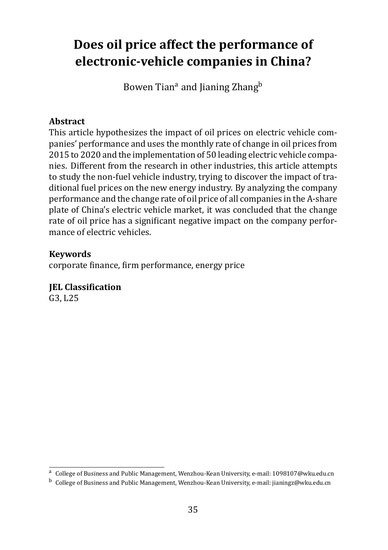### <span id="page-35-0"></span>**Does oil price affect the performance of electronic-vehicle companies in China?**

Bowen Tian<sup>a</sup> and Jianing Zhang<sup>b</sup>

#### **Abstract**

This article hypothesizes the impact of oil prices on electric vehicle companies' performance and uses the monthly rate of change in oil prices from 2015 to 2020 and the implementation of 50 leading electric vehicle companies. Different from the research in other industries, this article attempts to study the non-fuel vehicle industry, trying to discover the impact of traditional fuel prices on the new energy industry. By analyzing the company performance and the change rate of oil price of all companies in the A-share plate of China's electric vehicle market, it was concluded that the change rate of oil price has a significant negative impact on the company performance of electric vehicles.

#### **Keywords**

corporate finance, firm performance, energy price

### **JEL Classification**

G3, L25

a College of Business and Public Management, Wenzhou-Kean University, e-mail: 1098107@wku.edu.cn

<sup>&</sup>lt;sup>b</sup> College of Business and Public Management, Wenzhou-Kean University, e-mail: jianingz@wku.edu.cn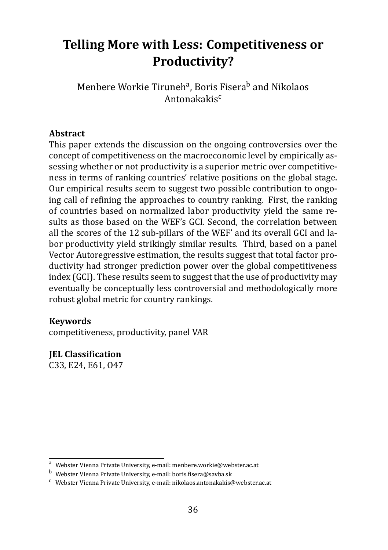### <span id="page-36-0"></span>**Telling More with Less: Competitiveness or Productivity?**

Menbere Workie Tiruneh<sup>a</sup>, Boris Fisera<sup>b</sup> and Nikolaos Antonakakisc

#### **Abstract**

This paper extends the discussion on the ongoing controversies over the concept of competitiveness on the macroeconomic level by empirically assessing whether or not productivity is a superior metric over competitiveness in terms of ranking countries' relative positions on the global stage. Our empirical results seem to suggest two possible contribution to ongoing call of refining the approaches to country ranking. First, the ranking of countries based on normalized labor productivity yield the same results as those based on the WEF's GCI. Second, the correlation between all the scores of the 12 sub-pillars of the WEF' and its overall GCI and labor productivity yield strikingly similar results. Third, based on a panel Vector Autoregressive estimation, the results suggest that total factor productivity had stronger prediction power over the global competitiveness index (GCI). These results seem to suggest that the use of productivity may eventually be conceptually less controversial and methodologically more robust global metric for country rankings.

#### **Keywords**

competitiveness, productivity, panel VAR

**JEL Classification** 

C33, E24, E61, O47

<sup>a</sup> Webster Vienna Private University, e-mail: menbere.workie@webster.ac.at

b Webster Vienna Private University, e-mail: boris.fisera@savba.sk

<sup>c</sup> Webster Vienna Private University, e-mail: nikolaos.antonakakis@webster.ac.at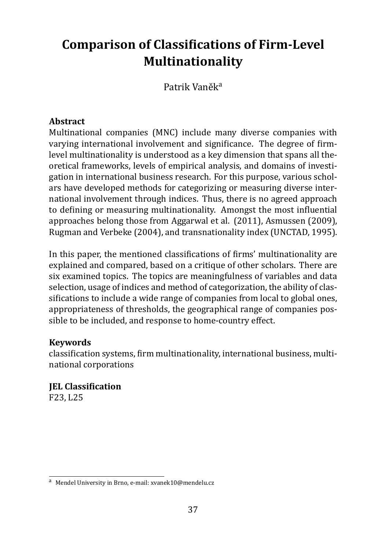# <span id="page-37-0"></span>**Comparison of Classifications of Firm-Level Multinationality**

Patrik Vaněka

#### **Abstract**

Multinational companies (MNC) include many diverse companies with varying international involvement and significance. The degree of firmlevel multinationality is understood as a key dimension that spans all theoretical frameworks, levels of empirical analysis, and domains of investigation in international business research. For this purpose, various scholars have developed methods for categorizing or measuring diverse international involvement through indices. Thus, there is no agreed approach to defining or measuring multinationality. Amongst the most influential approaches belong those from Aggarwal et al. (2011), Asmussen (2009), Rugman and Verbeke (2004), and transnationality index (UNCTAD, 1995).

In this paper, the mentioned classifications of firms' multinationality are explained and compared, based on a critique of other scholars. There are six examined topics. The topics are meaningfulness of variables and data selection, usage of indices and method of categorization, the ability of classifications to include a wide range of companies from local to global ones, appropriateness of thresholds, the geographical range of companies possible to be included, and response to home-country effect.

#### **Keywords**

classification systems, firm multinationality, international business, multinational corporations

**IEL Classification** F23, L25

<sup>a</sup> Mendel University in Brno, e-mail: xvanek10@mendelu.cz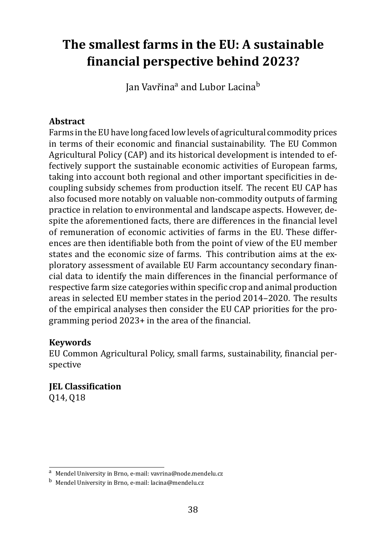### <span id="page-38-0"></span>**The smallest farms in the EU: A sustainable ϐinancial perspective behind 2023?**

Ian Vavřina<sup>a</sup> and Lubor Lacina<sup>b</sup>

#### **Abstract**

Farms in the EU have long faced low levels of agricultural commodity prices in terms of their economic and financial sustainability. The EU Common Agricultural Policy (CAP) and its historical development is intended to effectively support the sustainable economic activities of European farms, taking into account both regional and other important specificities in decoupling subsidy schemes from production itself. The recent EU CAP has also focused more notably on valuable non-commodity outputs of farming practice in relation to environmental and landscape aspects. However, despite the aforementioned facts, there are differences in the financial level of remuneration of economic activities of farms in the EU. These differences are then identifiable both from the point of view of the EU member states and the economic size of farms. This contribution aims at the exploratory assessment of available EU Farm accountancy secondary financial data to identify the main differences in the financial performance of respective farm size categories within specific crop and animal production areas in selected EU member states in the period 2014–2020. The results of the empirical analyses then consider the EU CAP priorities for the programming period  $2023+$  in the area of the financial.

#### **Keywords**

EU Common Agricultural Policy, small farms, sustainability, financial perspective

**JEL Classification** Q14, Q18

<sup>a</sup> Mendel University in Brno, e-mail: vavrina@node.mendelu.cz

<sup>b</sup> Mendel University in Brno, e-mail: lacina@mendelu.cz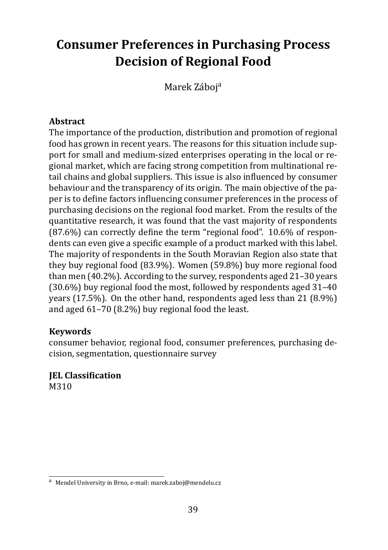# <span id="page-39-0"></span>**Consumer Preferences in Purchasing Process Decision of Regional Food**

Marek Záboja

#### **Abstract**

The importance of the production, distribution and promotion of regional food has grown in recent years. The reasons for this situation include support for small and medium-sized enterprises operating in the local or regional market, which are facing strong competition from multinational retail chains and global suppliers. This issue is also influenced by consumer behaviour and the transparency of its origin. The main objective of the paper is to define factors influencing consumer preferences in the process of purchasing decisions on the regional food market. From the results of the quantitative research, it was found that the vast majority of respondents  $(87.6%)$  can correctly define the term "regional food". 10.6% of respondents can even give a specific example of a product marked with this label. The majority of respondents in the South Moravian Region also state that they buy regional food (83.9%). Women (59.8%) buy more regional food than men (40.2%). According to the survey, respondents aged 21–30 years (30.6%) buy regional food the most, followed by respondents aged 31–40 years (17.5%). On the other hand, respondents aged less than 21 (8.9%) and aged 61–70 (8.2%) buy regional food the least.

#### **Keywords**

consumer behavior, regional food, consumer preferences, purchasing decision, segmentation, questionnaire survey

# **JEL Classification**

M310

<sup>a</sup> Mendel University in Brno, e-mail: marek.zaboj@mendelu.cz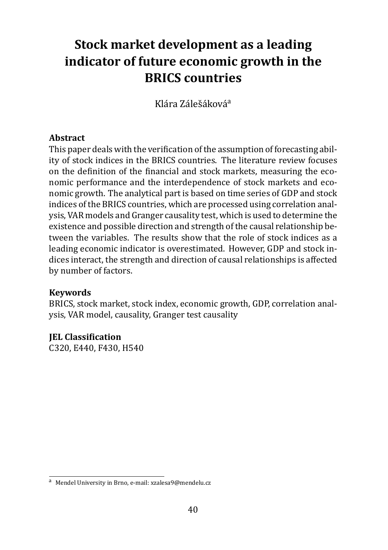# <span id="page-40-0"></span>**Stock market development as a leading indicator of future economic growth in the BRICS countries**

Klára Zálešáková<sup>a</sup>

#### **Abstract**

This paper deals with the verification of the assumption of forecasting ability of stock indices in the BRICS countries. The literature review focuses on the definition of the financial and stock markets, measuring the economic performance and the interdependence of stock markets and economic growth. The analytical part is based on time series of GDP and stock indices of the BRICS countries, which are processed using correlation analysis, VAR models and Granger causality test, which is used to determine the existence and possible direction and strength of the causal relationship between the variables. The results show that the role of stock indices as a leading economic indicator is overestimated. However, GDP and stock indices interact, the strength and direction of causal relationships is affected by number of factors.

#### **Keywords**

BRICS, stock market, stock index, economic growth, GDP, correlation analysis, VAR model, causality, Granger test causality

#### **JEL Classification**

C320, E440, F430, H540

<sup>a</sup> Mendel University in Brno, e-mail: xzalesa9@mendelu.cz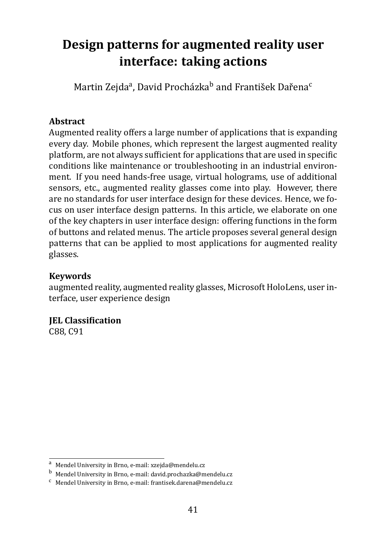# <span id="page-41-0"></span>**Design patterns for augmented reality user interface: taking actions**

Martin Zejda<sup>a</sup>, David Procházka<sup>b</sup> and František Dařena<sup>c</sup>

#### **Abstract**

Augmented reality offers a large number of applications that is expanding every day. Mobile phones, which represent the largest augmented reality platform, are not always sufficient for applications that are used in specific conditions like maintenance or troubleshooting in an industrial environment. If you need hands-free usage, virtual holograms, use of additional sensors, etc., augmented reality glasses come into play. However, there are no standards for user interface design for these devices. Hence, we focus on user interface design patterns. In this article, we elaborate on one of the key chapters in user interface design: offering functions in the form of buttons and related menus. The article proposes several general design patterns that can be applied to most applications for augmented reality glasses.

#### **Keywords**

augmented reality, augmented reality glasses, Microsoft HoloLens, user interface, user experience design

#### **IEL Classification**

C88, C91

<sup>a</sup> Mendel University in Brno, e-mail: xzejda@mendelu.cz

<sup>b</sup> Mendel University in Brno, e-mail: david.prochazka@mendelu.cz

<sup>c</sup> Mendel University in Brno, e-mail: frantisek.darena@mendelu.cz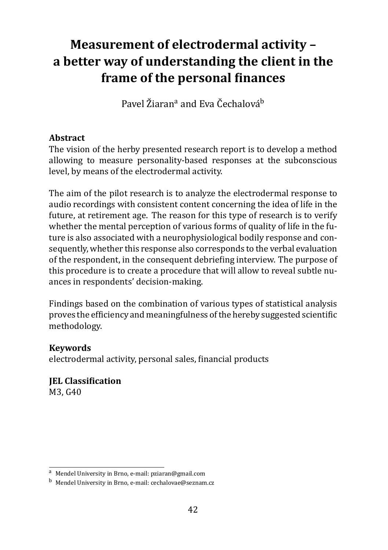# <span id="page-42-0"></span>**Measurement of electrodermal activity – a better way of understanding the client in the** frame of the personal finances

Pavel Žiaran<sup>a</sup> and Eva Čechalová<sup>b</sup>

#### **Abstract**

The vision of the herby presented research report is to develop a method allowing to measure personality-based responses at the subconscious level, by means of the electrodermal activity.

The aim of the pilot research is to analyze the electrodermal response to audio recordings with consistent content concerning the idea of life in the future, at retirement age. The reason for this type of research is to verify whether the mental perception of various forms of quality of life in the future is also associated with a neurophysiological bodily response and consequently, whether this response also corresponds to the verbal evaluation of the respondent, in the consequent debriefing interview. The purpose of this procedure is to create a procedure that will allow to reveal subtle nuances in respondents' decision-making.

Findings based on the combination of various types of statistical analysis proves the efficiency and meaningfulness of the hereby suggested scientific methodology.

#### **Keywords**

electrodermal activity, personal sales, financial products

**IEL Classification** M3, G40

<sup>a</sup> Mendel University in Brno, e-mail: pziaran@gmail.com

<sup>b</sup> Mendel University in Brno, e-mail: cechalovae@seznam.cz